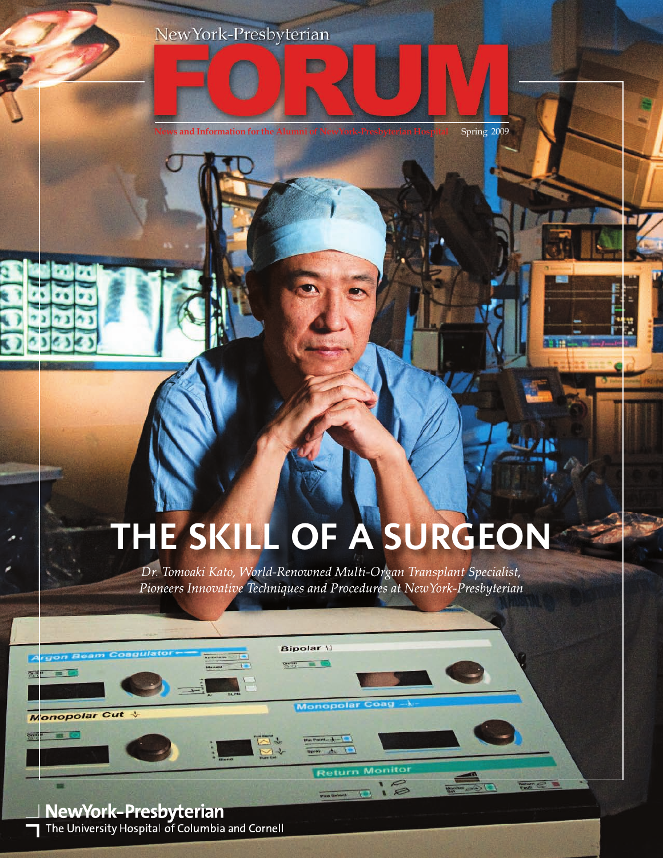## NewYork-Presbyterian



**Bar** 

## **THE SKILL OF A SURGEON**

*Dr. Tomoaki Kato, World-Renowned Multi-Organ Transplant Specialist, Pioneers Innovative Techniques and Procedures at NewYork-Presbyterian*

Monopolar (

**Return Monito** Pad Select 19 12

Fault C E

 $50$ 

**Bipolar** \\  $200 - 100$ 

**NewYork-Presbyterian**<br>
The University Hospital of Columbia and Cornell

Monopolar Cut V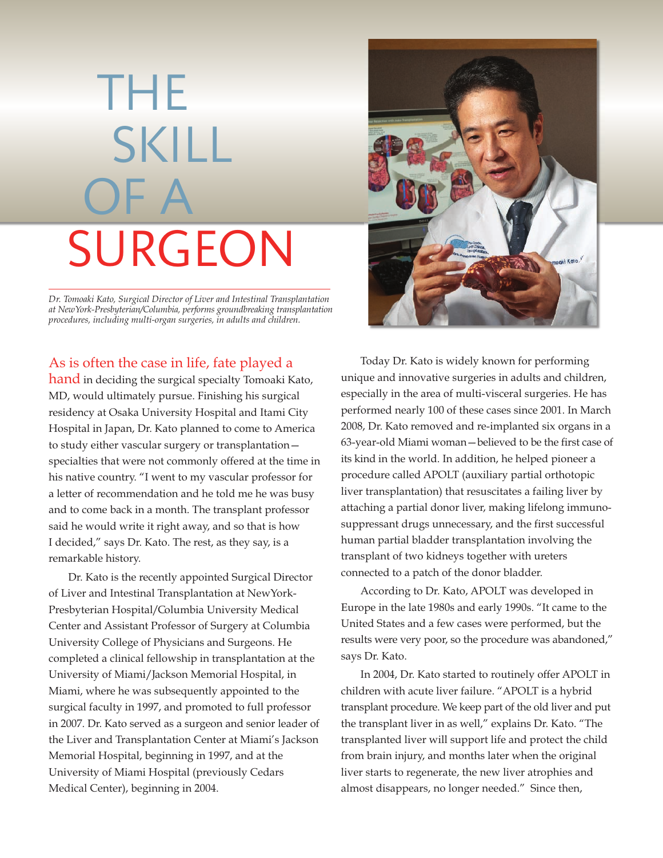# THE SKILL OF A SURGEON

*Dr. Tomoaki Kato, Surgical Director of Liver and Intestinal Transplantation at NewYork-Presbyterian/Columbia, performs groundbreaking transplantation procedures, including multi-organ surgeries, in adults and children.*

### As is often the case in life, fate played a

hand in deciding the surgical specialty Tomoaki Kato, MD, would ultimately pursue. Finishing his surgical residency at Osaka University Hospital and Itami City Hospital in Japan, Dr. Kato planned to come to America to study either vascular surgery or transplantation specialties that were not commonly offered at the time in his native country. "I went to my vascular professor for a letter of recommendation and he told me he was busy and to come back in a month. The transplant professor said he would write it right away, and so that is how I decided," says Dr. Kato. The rest, as they say, is a remarkable history.

Dr. Kato is the recently appointed Surgical Director of Liver and Intestinal Transplantation at NewYork-Presbyterian Hospital/Columbia University Medical Center and Assistant Professor of Surgery at Columbia University College of Physicians and Surgeons. He completed a clinical fellowship in transplantation at the University of Miami/Jackson Memorial Hospital, in Miami, where he was subsequently appointed to the surgical faculty in 1997, and promoted to full professor in 2007. Dr. Kato served as a surgeon and senior leader of the Liver and Transplantation Center at Miami's Jackson Memorial Hospital, beginning in 1997, and at the University of Miami Hospital (previously Cedars Medical Center), beginning in 2004.



Today Dr. Kato is widely known for performing unique and innovative surgeries in adults and children, especially in the area of multi-visceral surgeries. He has performed nearly 100 of these cases since 2001. In March 2008, Dr. Kato removed and re-implanted six organs in a 63-year-old Miami woman—believed to be the first case of its kind in the world. In addition, he helped pioneer a procedure called APOLT (auxiliary partial orthotopic liver transplantation) that resuscitates a failing liver by attaching a partial donor liver, making lifelong immunosuppressant drugs unnecessary, and the first successful human partial bladder transplantation involving the transplant of two kidneys together with ureters connected to a patch of the donor bladder.

According to Dr. Kato, APOLT was developed in Europe in the late 1980s and early 1990s. "It came to the United States and a few cases were performed, but the results were very poor, so the procedure was abandoned," says Dr. Kato.

In 2004, Dr. Kato started to routinely offer APOLT in children with acute liver failure. "APOLT is a hybrid transplant procedure. We keep part of the old liver and put the transplant liver in as well," explains Dr. Kato. "The transplanted liver will support life and protect the child from brain injury, and months later when the original liver starts to regenerate, the new liver atrophies and almost disappears, no longer needed." Since then,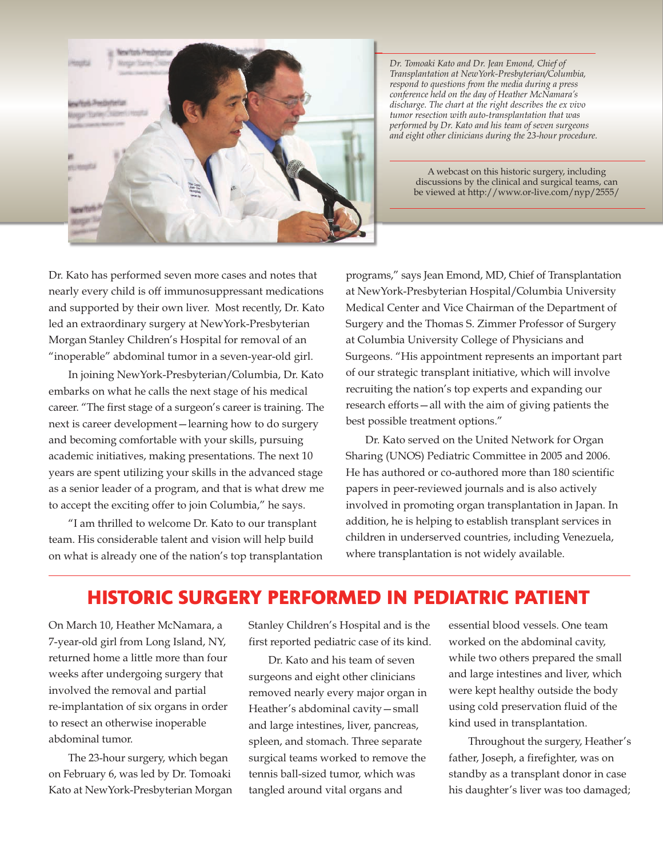

*Dr. Tomoaki Kato and Dr. Jean Emond, Chief of Transplantation at NewYork-Presbyterian/Columbia, respond to questions from the media during a press conference held on the day of Heather McNamara's discharge. The chart at the right describes the ex vivo tumor resection with auto-transplantation that was performed by Dr. Kato and his team of seven surgeons and eight other clinicians during the 23-hour procedure.*

> A webcast on this historic surgery, including discussions by the clinical and surgical teams, can be viewed at http://www.or-live.com/nyp/2555/

Dr. Kato has performed seven more cases and notes that nearly every child is off immunosuppressant medications and supported by their own liver. Most recently, Dr. Kato led an extraordinary surgery at NewYork-Presbyterian Morgan Stanley Children's Hospital for removal of an "inoperable" abdominal tumor in a seven-year-old girl.

In joining NewYork-Presbyterian/Columbia, Dr. Kato embarks on what he calls the next stage of his medical career. "The first stage of a surgeon's career is training. The next is career development—learning how to do surgery and becoming comfortable with your skills, pursuing academic initiatives, making presentations. The next 10 years are spent utilizing your skills in the advanced stage as a senior leader of a program, and that is what drew me to accept the exciting offer to join Columbia," he says.

"I am thrilled to welcome Dr. Kato to our transplant team. His considerable talent and vision will help build on what is already one of the nation's top transplantation

programs," says Jean Emond, MD, Chief of Transplantation at NewYork-Presbyterian Hospital/Columbia University Medical Center and Vice Chairman of the Department of Surgery and the Thomas S. Zimmer Professor of Surgery at Columbia University College of Physicians and Surgeons. "His appointment represents an important part of our strategic transplant initiative, which will involve recruiting the nation's top experts and expanding our research efforts—all with the aim of giving patients the best possible treatment options."

Dr. Kato served on the United Network for Organ Sharing (UNOS) Pediatric Committee in 2005 and 2006. He has authored or co-authored more than 180 scientific papers in peer-reviewed journals and is also actively involved in promoting organ transplantation in Japan. In addition, he is helping to establish transplant services in children in underserved countries, including Venezuela, where transplantation is not widely available.

## **HISTORIC SURGERY PERFORMED IN PEDIATRIC PATIENT**

On March 10, Heather McNamara, a 7-year-old girl from Long Island, NY, returned home a little more than four weeks after undergoing surgery that involved the removal and partial re-implantation of six organs in order to resect an otherwise inoperable abdominal tumor.

The 23-hour surgery, which began on February 6, was led by Dr. Tomoaki Kato at NewYork-Presbyterian Morgan Stanley Children's Hospital and is the first reported pediatric case of its kind.

Dr. Kato and his team of seven surgeons and eight other clinicians removed nearly every major organ in Heather's abdominal cavity—small and large intestines, liver, pancreas, spleen, and stomach. Three separate surgical teams worked to remove the tennis ball-sized tumor, which was tangled around vital organs and

essential blood vessels. One team worked on the abdominal cavity, while two others prepared the small and large intestines and liver, which were kept healthy outside the body using cold preservation fluid of the kind used in transplantation.

Throughout the surgery, Heather's father, Joseph, a firefighter, was on standby as a transplant donor in case his daughter's liver was too damaged;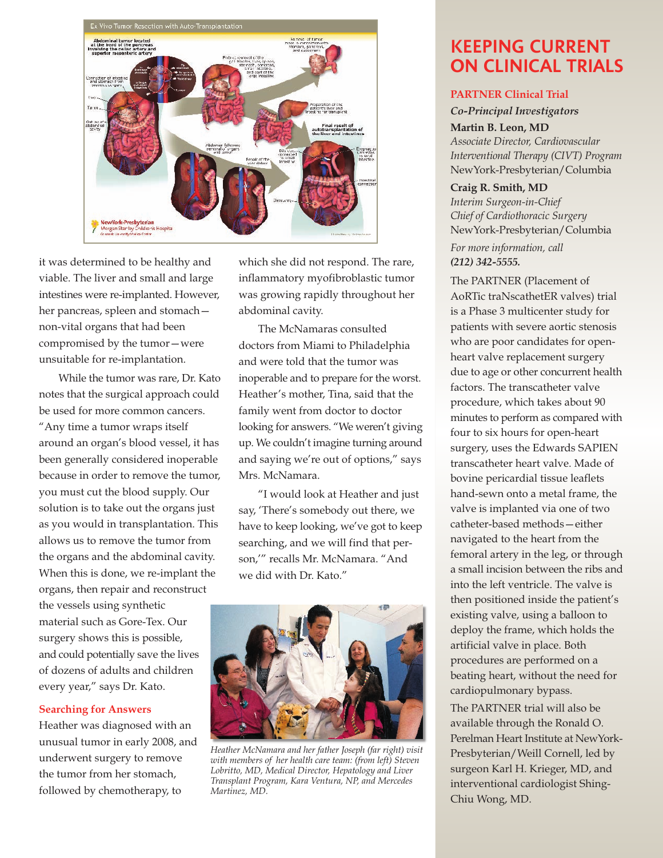

it was determined to be healthy and viable. The liver and small and large intestines were re-implanted. However, her pancreas, spleen and stomach non-vital organs that had been compromised by the tumor—were unsuitable for re-implantation.

While the tumor was rare, Dr. Kato notes that the surgical approach could be used for more common cancers. "Any time a tumor wraps itself around an organ's blood vessel, it has been generally considered inoperable because in order to remove the tumor, you must cut the blood supply. Our solution is to take out the organs just as you would in transplantation. This allows us to remove the tumor from the organs and the abdominal cavity. When this is done, we re-implant the organs, then repair and reconstruct the vessels using synthetic material such as Gore-Tex. Our surgery shows this is possible, and could potentially save the lives of dozens of adults and children every year," says Dr. Kato.

#### **Searching for Answers**

Heather was diagnosed with an unusual tumor in early 2008, and underwent surgery to remove the tumor from her stomach, followed by chemotherapy, to

which she did not respond. The rare, inflammatory myofibroblastic tumor was growing rapidly throughout her abdominal cavity.

The McNamaras consulted doctors from Miami to Philadelphia and were told that the tumor was inoperable and to prepare for the worst. Heather's mother, Tina, said that the family went from doctor to doctor looking for answers. "We weren't giving up. We couldn't imagine turning around and saying we're out of options," says Mrs. McNamara.

"I would look at Heather and just say, 'There's somebody out there, we have to keep looking, we've got to keep searching, and we will find that person,'" recalls Mr. McNamara. "And we did with Dr. Kato."



*Heather McNamara and her father Joseph (far right) visit with members of her health care team: (from left) Steven Lobritto, MD, Medical Director, Hepatology and Liver Transplant Program, Kara Ventura, NP, and Mercedes Martinez, MD.*

## **KEEPING CURRENT ON CLINICAL TRIALS**

#### **PARTNER Clinical Trial**

*Co-Principal Investigators* **Martin B. Leon, MD** *Associate Director, Cardiovascular Interventional Therapy (CIVT) Program* NewYork-Presbyterian/Columbia

**Craig R. Smith, MD** *Interim Surgeon-in-Chief Chief of Cardiothoracic Surgery* NewYork-Presbyterian/Columbia

*For more information, call (212) 342-5555.*

The PARTNER (Placement of AoRTic traNscathetER valves) trial is a Phase 3 multicenter study for patients with severe aortic stenosis who are poor candidates for openheart valve replacement surgery due to age or other concurrent health factors. The transcatheter valve procedure, which takes about 90 minutes to perform as compared with four to six hours for open-heart surgery, uses the Edwards SAPIEN transcatheter heart valve. Made of bovine pericardial tissue leaflets hand-sewn onto a metal frame, the valve is implanted via one of two catheter-based methods—either navigated to the heart from the femoral artery in the leg, or through a small incision between the ribs and into the left ventricle. The valve is then positioned inside the patient's existing valve, using a balloon to deploy the frame, which holds the artificial valve in place. Both procedures are performed on a beating heart, without the need for cardiopulmonary bypass.

The PARTNER trial will also be available through the Ronald O. Perelman Heart Institute at NewYork-Presbyterian/Weill Cornell, led by surgeon Karl H. Krieger, MD, and interventional cardiologist Shing-Chiu Wong, MD.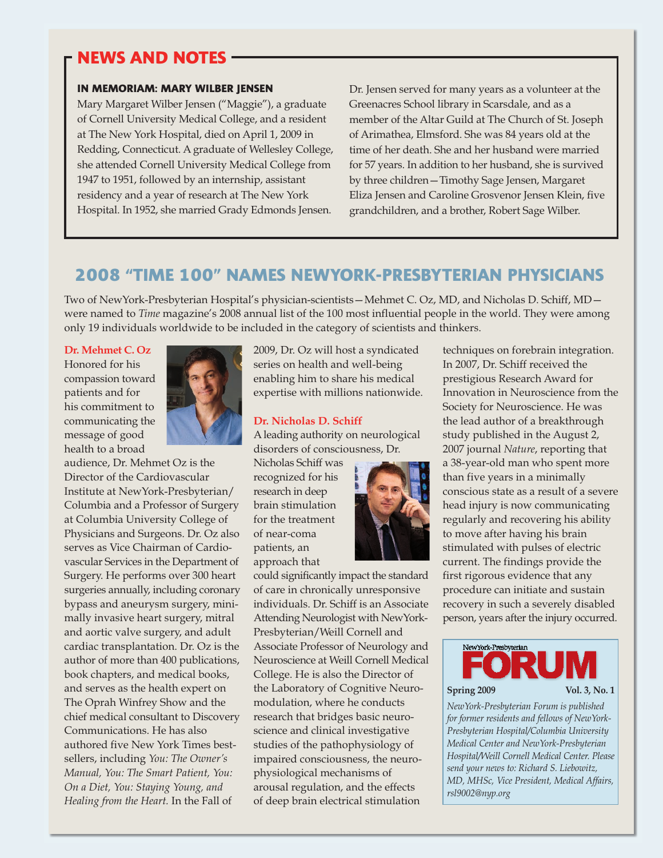## **NEWS AND NOTES**

#### **IN MEMORIAM: MARY WILBER JENSEN**

Mary Margaret Wilber Jensen ("Maggie"), a graduate of Cornell University Medical College, and a resident at The New York Hospital, died on April 1, 2009 in Redding, Connecticut. A graduate of Wellesley College, she attended Cornell University Medical College from 1947 to 1951, followed by an internship, assistant residency and a year of research at The New York Hospital. In 1952, she married Grady Edmonds Jensen.

Dr. Jensen served for many years as a volunteer at the Greenacres School library in Scarsdale, and as a member of the Altar Guild at The Church of St. Joseph of Arimathea, Elmsford. She was 84 years old at the time of her death. She and her husband were married for 57 years. In addition to her husband, she is survived by three children—Timothy Sage Jensen, Margaret Eliza Jensen and Caroline Grosvenor Jensen Klein, five grandchildren, and a brother, Robert Sage Wilber.

## **2008 "TIME 100" NAMES NEWYORK-PRESBYTERIAN PHYSICIANS**

Two of NewYork-Presbyterian Hospital's physician-scientists—Mehmet C. Oz, MD, and Nicholas D. Schiff, MD were named to *Time* magazine's 2008 annual list of the 100 most influential people in the world. They were among only 19 individuals worldwide to be included in the category of scientists and thinkers.

#### **Dr. Mehmet C. Oz**

Honored for his compassion toward patients and for his commitment to communicating the message of good health to a broad



audience, Dr. Mehmet Oz is the Director of the Cardiovascular Institute at NewYork-Presbyterian/ Columbia and a Professor of Surgery at Columbia University College of Physicians and Surgeons. Dr. Oz also serves as Vice Chairman of Cardiovascular Services in the Department of Surgery. He performs over 300 heart surgeries annually, including coronary bypass and aneurysm surgery, minimally invasive heart surgery, mitral and aortic valve surgery, and adult cardiac transplantation. Dr. Oz is the author of more than 400 publications, book chapters, and medical books, and serves as the health expert on The Oprah Winfrey Show and the chief medical consultant to Discovery Communications. He has also authored five New York Times bestsellers, including *You: The Owner's Manual, You: The Smart Patient, You: On a Diet, You: Staying Young, and Healing from the Heart.* In the Fall of

2009, Dr. Oz will host a syndicated series on health and well-being enabling him to share his medical expertise with millions nationwide.

#### **Dr. Nicholas D. Schiff**

Aleading authority on neurological disorders of consciousness, Dr.

Nicholas Schiff was recognized for his research in deep brain stimulation for the treatment of near-coma patients, an approach that



could significantly impact the standard of care in chronically unresponsive individuals. Dr. Schiff is an Associate Attending Neurologist with NewYork-Presbyterian/Weill Cornell and Associate Professor of Neurology and Neuroscience at Weill Cornell Medical College. He is also the Director of the Laboratory of Cognitive Neuromodulation, where he conducts research that bridges basic neuroscience and clinical investigative studies of the pathophysiology of impaired consciousness, the neurophysiological mechanisms of arousal regulation, and the effects of deep brain electrical stimulation

techniques on forebrain integration. In 2007, Dr. Schiff received the prestigious Research Award for Innovation in Neuroscience from the Society for Neuroscience. He was the lead author of a breakthrough study published in the August 2, 2007 journal *Nature*, reporting that a 38-year-old man who spent more than five years in a minimally conscious state as a result of a severe head injury is now communicating regularly and recovering his ability to move after having his brain stimulated with pulses of electric current. The findings provide the first rigorous evidence that any procedure can initiate and sustain recovery in such a severely disabled person, years after the injury occurred.



#### **Spring 2009 Vol. 3, No. 1**

*NewYork-Presbyterian Forum is published for former residents and fellows of NewYork-Presbyterian Hospital/Columbia University Medical Center and NewYork-Presbyterian Hospital/Weill Cornell Medical Center. Please send your news to: Richard S. Liebowitz, MD, MHSc, Vice President, Medical Affairs, rsl9002@nyp.org*